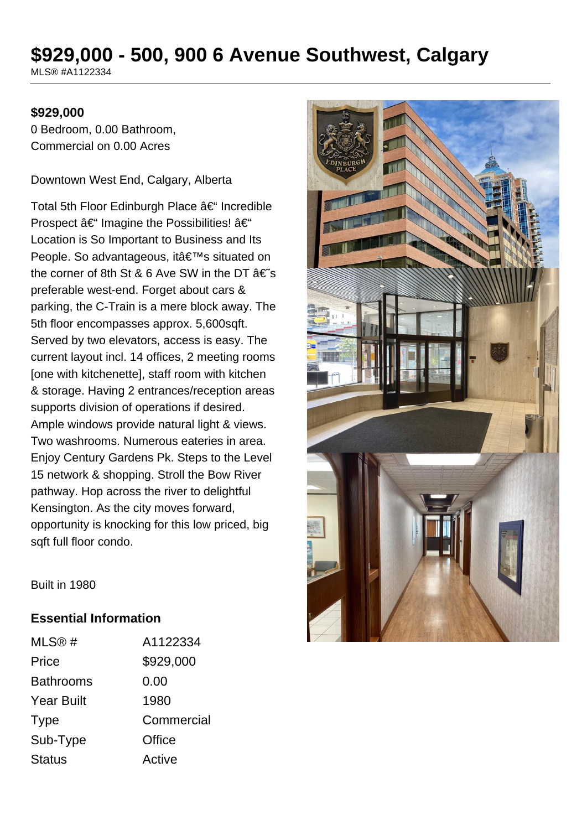# **\$929,000 - 500, 900 6 Avenue Southwest, Calgary**

MLS® #A1122334

#### **\$929,000**

0 Bedroom, 0.00 Bathroom, Commercial on 0.00 Acres

Downtown West End, Calgary, Alberta

Total 5th Floor Edinburgh Place  $\hat{a} \in$ " Incredible Prospect  $\hat{a} \in \hat{ }$  Imagine the Possibilities!  $\hat{a} \in \hat{ }$ Location is So Important to Business and Its People. So advantageous, it's situated on the corner of 8th St & 6 Ave SW in the DT  $\hat{a} \in \infty$ preferable west-end. Forget about cars & parking, the C-Train is a mere block away. The 5th floor encompasses approx. 5,600sqft. Served by two elevators, access is easy. The current layout incl. 14 offices, 2 meeting rooms [one with kitchenette], staff room with kitchen & storage. Having 2 entrances/reception areas supports division of operations if desired. Ample windows provide natural light & views. Two washrooms. Numerous eateries in area. Enjoy Century Gardens Pk. Steps to the Level 15 network & shopping. Stroll the Bow River pathway. Hop across the river to delightful Kensington. As the city moves forward, opportunity is knocking for this low priced, big sqft full floor condo.



Built in 1980

## **Essential Information**

| MLS@#             | A1122334   |
|-------------------|------------|
| Price             | \$929,000  |
| <b>Bathrooms</b>  | 0.00       |
| <b>Year Built</b> | 1980       |
| <b>Type</b>       | Commercial |
| Sub-Type          | Office     |
| <b>Status</b>     | Active     |